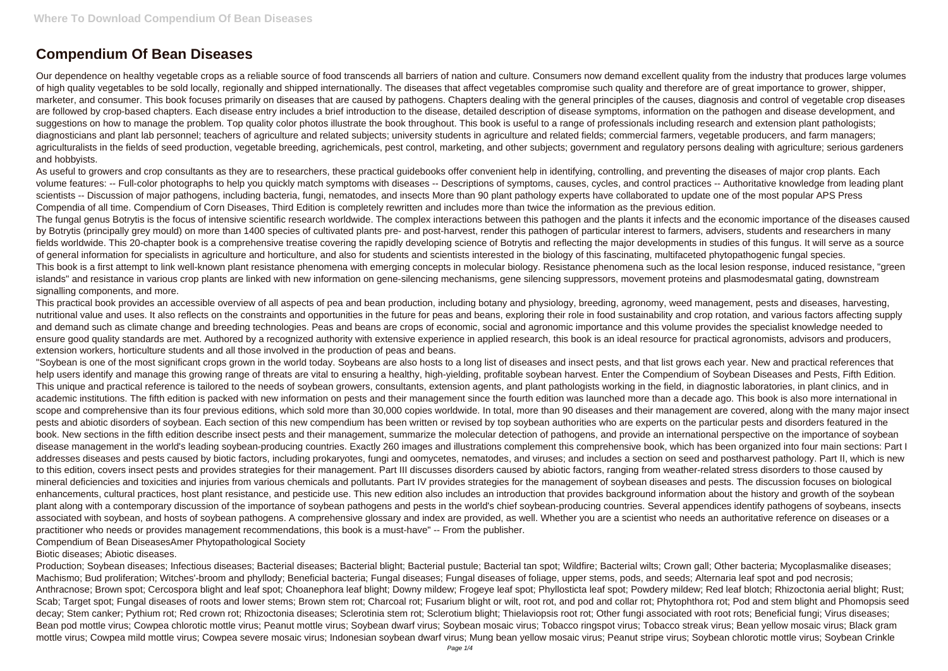## **Compendium Of Bean Diseases**

Our dependence on healthy vegetable crops as a reliable source of food transcends all barriers of nation and culture. Consumers now demand excellent quality from the industry that produces large volumes of high quality vegetables to be sold locally, regionally and shipped internationally. The diseases that affect vegetables compromise such quality and therefore are of great importance to grower, shipper, marketer, and consumer. This book focuses primarily on diseases that are caused by pathogens. Chapters dealing with the general principles of the causes, diagnosis and control of vegetable crop diseases are followed by crop-based chapters. Each disease entry includes a brief introduction to the disease, detailed description of disease symptoms, information on the pathogen and disease development, and suggestions on how to manage the problem. Top quality color photos illustrate the book throughout. This book is useful to a range of professionals including research and extension plant pathologists; diagnosticians and plant lab personnel; teachers of agriculture and related subjects; university students in agriculture and related fields; commercial farmers, vegetable producers, and farm managers; agriculturalists in the fields of seed production, vegetable breeding, agrichemicals, pest control, marketing, and other subjects; government and regulatory persons dealing with agriculture; serious gardeners and hobbyists.

As useful to growers and crop consultants as they are to researchers, these practical guidebooks offer convenient help in identifying, controlling, and preventing the diseases of major crop plants. Each volume features: -- Full-color photographs to help you quickly match symptoms with diseases -- Descriptions of symptoms, causes, cycles, and control practices -- Authoritative knowledge from leading plant scientists -- Discussion of major pathogens, including bacteria, fungi, nematodes, and insects More than 90 plant pathology experts have collaborated to update one of the most popular APS Press Compendia of all time. Compendium of Corn Diseases, Third Edition is completely rewritten and includes more than twice the information as the previous edition. The fungal genus Botrytis is the focus of intensive scientific research worldwide. The complex interactions between this pathogen and the plants it infects and the economic importance of the diseases caused by Botrytis (principally grey mould) on more than 1400 species of cultivated plants pre- and post-harvest, render this pathogen of particular interest to farmers, advisers, students and researchers in many fields worldwide. This 20-chapter book is a comprehensive treatise covering the rapidly developing science of Botrytis and reflecting the major developments in studies of this fungus. It will serve as a source of general information for specialists in agriculture and horticulture, and also for students and scientists interested in the biology of this fascinating, multifaceted phytopathogenic fungal species. This book is a first attempt to link well-known plant resistance phenomena with emerging concepts in molecular biology. Resistance phenomena such as the local lesion response, induced resistance, "green islands" and resistance in various crop plants are linked with new information on gene-silencing mechanisms, gene silencing suppressors, movement proteins and plasmodesmatal gating, downstream signalling components, and more.

This practical book provides an accessible overview of all aspects of pea and bean production, including botany and physiology, breeding, agronomy, weed management, pests and diseases, harvesting, nutritional value and uses. It also reflects on the constraints and opportunities in the future for peas and beans, exploring their role in food sustainability and crop rotation, and various factors affecting supply and demand such as climate change and breeding technologies. Peas and beans are crops of economic, social and agronomic importance and this volume provides the specialist knowledge needed to ensure good quality standards are met. Authored by a recognized authority with extensive experience in applied research, this book is an ideal resource for practical agronomists, advisors and producers, extension workers, horticulture students and all those involved in the production of peas and beans.

"Soybean is one of the most significant crops grown in the world today. Soybeans are also hosts to a long list of diseases and insect pests, and that list grows each year. New and practical references that help users identify and manage this growing range of threats are vital to ensuring a healthy, high-yielding, profitable soybean harvest. Enter the Compendium of Soybean Diseases and Pests, Fifth Edition. This unique and practical reference is tailored to the needs of soybean growers, consultants, extension agents, and plant pathologists working in the field, in diagnostic laboratories, in plant clinics, and in academic institutions. The fifth edition is packed with new information on pests and their management since the fourth edition was launched more than a decade ago. This book is also more international in scope and comprehensive than its four previous editions, which sold more than 30,000 copies worldwide. In total, more than 90 diseases and their management are covered, along with the many major insect pests and abiotic disorders of soybean. Each section of this new compendium has been written or revised by top soybean authorities who are experts on the particular pests and disorders featured in the book. New sections in the fifth edition describe insect pests and their management, summarize the molecular detection of pathogens, and provide an international perspective on the importance of soybean disease management in the world's leading soybean-producing countries. Exactly 260 images and illustrations complement this comprehensive book, which has been organized into four main sections: Part I addresses diseases and pests caused by biotic factors, including prokaryotes, fungi and oomycetes, nematodes, and viruses; and includes a section on seed and postharvest pathology. Part II, which is new to this edition, covers insect pests and provides strategies for their management. Part III discusses disorders caused by abiotic factors, ranging from weather-related stress disorders to those caused by mineral deficiencies and toxicities and injuries from various chemicals and pollutants. Part IV provides strategies for the management of soybean diseases and pests. The discussion focuses on biological enhancements, cultural practices, host plant resistance, and pesticide use. This new edition also includes an introduction that provides background information about the history and growth of the soybean plant along with a contemporary discussion of the importance of soybean pathogens and pests in the world's chief soybean-producing countries. Several appendices identify pathogens of soybeans, insects associated with soybean, and hosts of soybean pathogens. A comprehensive glossary and index are provided, as well. Whether you are a scientist who needs an authoritative reference on diseases or a practitioner who needs or provides management recommendations, this book is a must-have" -- From the publisher.

Compendium of Bean DiseasesAmer Phytopathological Society

## Biotic diseases; Abiotic diseases.

Production; Soybean diseases; Infectious diseases; Bacterial diseases; Bacterial blight; Bacterial pustule; Bacterial tan spot; Wildfire; Bacterial wilts; Crown gall; Other bacteria; Mycoplasmalike diseases; Machismo; Bud proliferation; Witches'-broom and phyllody; Beneficial bacteria; Fungal diseases; Fungal diseases of foliage, upper stems, pods, and seeds; Alternaria leaf spot and pod necrosis; Anthracnose; Brown spot; Cercospora blight and leaf spot; Choanephora leaf blight; Downy mildew; Frogeye leaf spot; Phyllosticta leaf spot; Powdery mildew; Red leaf blotch; Rhizoctonia aerial blight; Rust; Scab; Target spot; Fungal diseases of roots and lower stems; Brown stem rot; Charcoal rot; Fusarium blight or wilt, root rot, and pod and collar rot; Phytophthora rot; Pod and stem blight and Phomopsis seed decay; Stem canker; Pythium rot; Red crown rot; Rhizoctonia diseases; Sclerotinia stem rot; Sclerotium blight; Thielaviopsis root rot; Other fungi associated with root rots; Beneficial fungi; Virus diseases; Bean pod mottle virus; Cowpea chlorotic mottle virus; Peanut mottle virus; Soybean dwarf virus; Soybean mosaic virus; Tobacco ringspot virus; Tobacco streak virus; Bean yellow mosaic virus; Black gram mottle virus; Cowpea mild mottle virus; Cowpea severe mosaic virus; Indonesian soybean dwarf virus; Mung bean yellow mosaic virus; Peanut stripe virus; Soybean chlorotic mottle virus; Soybean Crinkle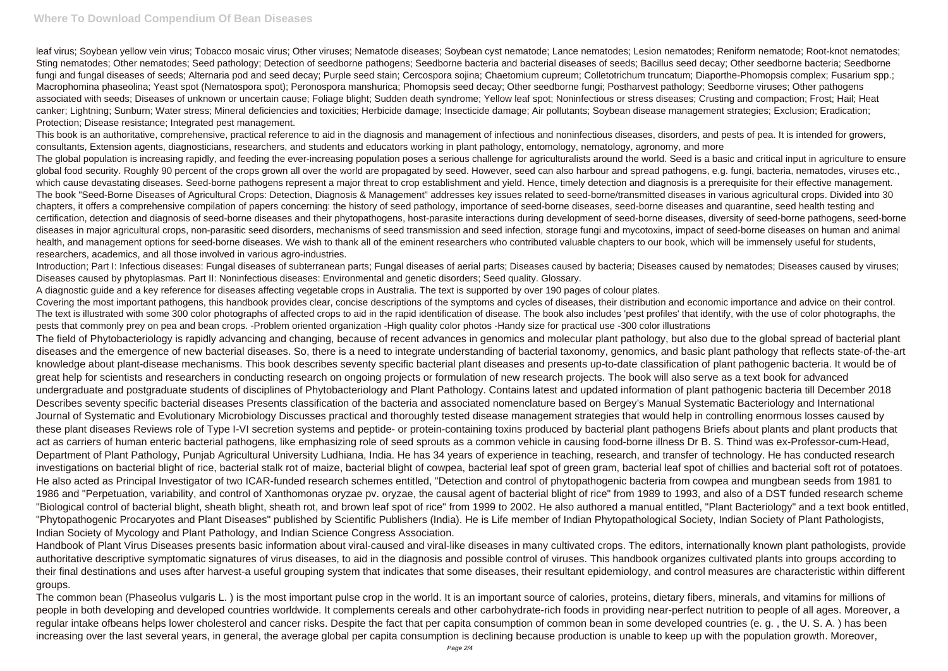leaf virus; Soybean yellow vein virus; Tobacco mosaic virus; Other viruses; Nematode diseases; Soybean cyst nematode; Lance nematodes; Lesion nematodes; Reniform nematode; Root-knot nematodes; Sting nematodes; Other nematodes; Seed pathology; Detection of seedborne pathogens; Seedborne bacteria and bacterial diseases of seeds; Bacillus seed decay; Other seedborne bacteria; Seedborne fungi and fungal diseases of seeds; Alternaria pod and seed decay; Purple seed stain; Cercospora sojina; Chaetomium cupreum; Colletotrichum truncatum; Diaporthe-Phomopsis complex; Fusarium spp.; Macrophomina phaseolina; Yeast spot (Nematospora spot); Peronospora manshurica; Phomopsis seed decay; Other seedborne fungi; Postharvest pathology; Seedborne viruses; Other pathogens associated with seeds; Diseases of unknown or uncertain cause; Foliage blight; Sudden death syndrome; Yellow leaf spot; Noninfectious or stress diseases; Crusting and compaction; Frost; Hail; Heat canker; Lightning; Sunburn; Water stress; Mineral deficiencies and toxicities; Herbicide damage; Insecticide damage; Air pollutants; Soybean disease management strategies; Exclusion; Eradication; Protection; Disease resistance; Integrated pest management.

This book is an authoritative, comprehensive, practical reference to aid in the diagnosis and management of infectious and noninfectious diseases, disorders, and pests of pea. It is intended for growers, consultants, Extension agents, diagnosticians, researchers, and students and educators working in plant pathology, entomology, nematology, agronomy, and more The global population is increasing rapidly, and feeding the ever-increasing population poses a serious challenge for agriculturalists around the world. Seed is a basic and critical input in agriculture to ensure global food security. Roughly 90 percent of the crops grown all over the world are propagated by seed. However, seed can also harbour and spread pathogens, e.g. fungi, bacteria, nematodes, viruses etc., which cause devastating diseases. Seed-borne pathogens represent a major threat to crop establishment and yield. Hence, timely detection and diagnosis is a prerequisite for their effective management. The book "Seed-Borne Diseases of Agricultural Crops: Detection, Diagnosis & Management" addresses key issues related to seed-borne/transmitted diseases in various agricultural crops. Divided into 30 chapters, it offers a comprehensive compilation of papers concerning: the history of seed pathology, importance of seed-borne diseases, seed-borne diseases and quarantine, seed health testing and certification, detection and diagnosis of seed-borne diseases and their phytopathogens, host-parasite interactions during development of seed-borne diseases, diversity of seed-borne pathogens, seed-borne diseases in major agricultural crops, non-parasitic seed disorders, mechanisms of seed transmission and seed infection, storage fungi and mycotoxins, impact of seed-borne diseases on human and animal health, and management options for seed-borne diseases. We wish to thank all of the eminent researchers who contributed valuable chapters to our book, which will be immensely useful for students, researchers, academics, and all those involved in various agro-industries.

Introduction; Part I: Infectious diseases: Fungal diseases of subterranean parts; Fungal diseases of aerial parts; Diseases caused by bacteria; Diseases caused by nematodes; Diseases caused by viruses; Diseases caused by phytoplasmas. Part II: Noninfectious diseases: Environmental and genetic disorders; Seed quality. Glossary.

A diagnostic guide and a key reference for diseases affecting vegetable crops in Australia. The text is supported by over 190 pages of colour plates.

Covering the most important pathogens, this handbook provides clear, concise descriptions of the symptoms and cycles of diseases, their distribution and economic importance and advice on their control. The text is illustrated with some 300 color photographs of affected crops to aid in the rapid identification of disease. The book also includes 'pest profiles' that identify, with the use of color photographs, the pests that commonly prey on pea and bean crops. -Problem oriented organization -High quality color photos -Handy size for practical use -300 color illustrations The field of Phytobacteriology is rapidly advancing and changing, because of recent advances in genomics and molecular plant pathology, but also due to the global spread of bacterial plant diseases and the emergence of new bacterial diseases. So, there is a need to integrate understanding of bacterial taxonomy, genomics, and basic plant pathology that reflects state-of-the-art knowledge about plant-disease mechanisms. This book describes seventy specific bacterial plant diseases and presents up-to-date classification of plant pathogenic bacteria. It would be of great help for scientists and researchers in conducting research on ongoing projects or formulation of new research projects. The book will also serve as a text book for advanced undergraduate and postgraduate students of disciplines of Phytobacteriology and Plant Pathology. Contains latest and updated information of plant pathogenic bacteria till December 2018 Describes seventy specific bacterial diseases Presents classification of the bacteria and associated nomenclature based on Bergey's Manual Systematic Bacteriology and International Journal of Systematic and Evolutionary Microbiology Discusses practical and thoroughly tested disease management strategies that would help in controlling enormous losses caused by these plant diseases Reviews role of Type I-VI secretion systems and peptide- or protein-containing toxins produced by bacterial plant pathogens Briefs about plants and plant products that act as carriers of human enteric bacterial pathogens, like emphasizing role of seed sprouts as a common vehicle in causing food-borne illness Dr B. S. Thind was ex-Professor-cum-Head, Department of Plant Pathology, Punjab Agricultural University Ludhiana, India. He has 34 years of experience in teaching, research, and transfer of technology. He has conducted research investigations on bacterial blight of rice, bacterial stalk rot of maize, bacterial blight of cowpea, bacterial leaf spot of green gram, bacterial leaf spot of chillies and bacterial soft rot of potatoes. He also acted as Principal Investigator of two ICAR-funded research schemes entitled, "Detection and control of phytopathogenic bacteria from cowpea and mungbean seeds from 1981 to 1986 and "Perpetuation, variability, and control of Xanthomonas oryzae pv. oryzae, the causal agent of bacterial blight of rice" from 1989 to 1993, and also of a DST funded research scheme "Biological control of bacterial blight, sheath blight, sheath rot, and brown leaf spot of rice" from 1999 to 2002. He also authored a manual entitled, "Plant Bacteriology" and a text book entitled, "Phytopathogenic Procaryotes and Plant Diseases" published by Scientific Publishers (India). He is Life member of Indian Phytopathological Society, Indian Society of Plant Pathologists, Indian Society of Mycology and Plant Pathology, and Indian Science Congress Association.

Handbook of Plant Virus Diseases presents basic information about viral-caused and viral-like diseases in many cultivated crops. The editors, internationally known plant pathologists, provide authoritative descriptive symptomatic signatures of virus diseases, to aid in the diagnosis and possible control of viruses. This handbook organizes cultivated plants into groups according to their final destinations and uses after harvest-a useful grouping system that indicates that some diseases, their resultant epidemiology, and control measures are characteristic within different groups.

The common bean (Phaseolus vulgaris L. ) is the most important pulse crop in the world. It is an important source of calories, proteins, dietary fibers, minerals, and vitamins for millions of people in both developing and developed countries worldwide. It complements cereals and other carbohydrate-rich foods in providing near-perfect nutrition to people of all ages. Moreover, a regular intake ofbeans helps lower cholesterol and cancer risks. Despite the fact that per capita consumption of common bean in some developed countries (e. g. , the U. S. A. ) has been increasing over the last several years, in general, the average global per capita consumption is declining because production is unable to keep up with the population growth. Moreover,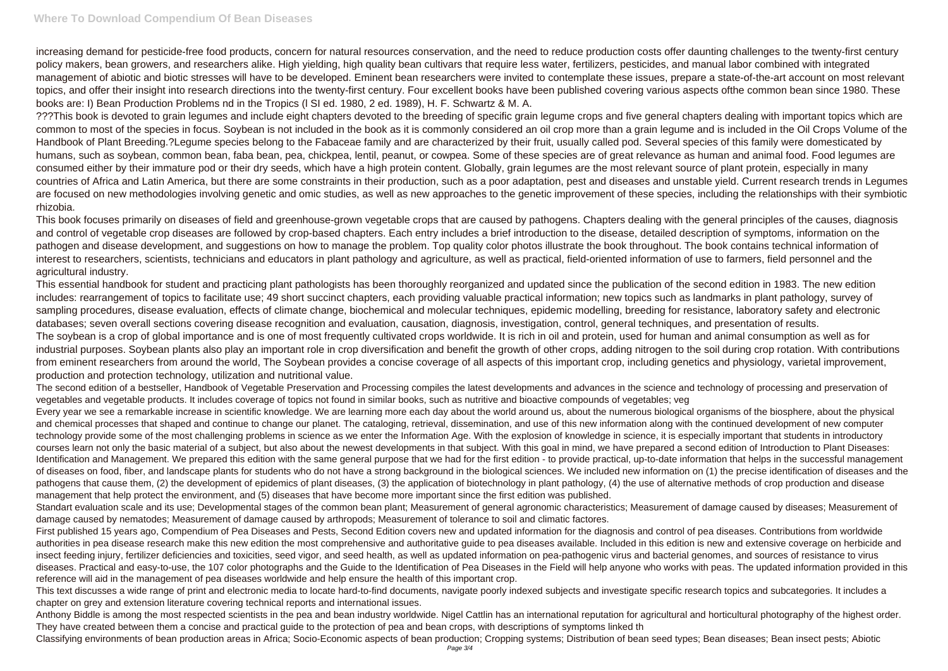## **Where To Download Compendium Of Bean Diseases**

increasing demand for pesticide-free food products, concern for natural resources conservation, and the need to reduce production costs offer daunting challenges to the twenty-first century policy makers, bean growers, and researchers alike. High yielding, high quality bean cultivars that require less water, fertilizers, pesticides, and manual labor combined with integrated management of abiotic and biotic stresses will have to be developed. Eminent bean researchers were invited to contemplate these issues, prepare a state-of-the-art account on most relevant topics, and offer their insight into research directions into the twenty-first century. Four excellent books have been published covering various aspects ofthe common bean since 1980. These books are: I) Bean Production Problems nd in the Tropics (l SI ed. 1980, 2 ed. 1989), H. F. Schwartz & M. A.

???This book is devoted to grain legumes and include eight chapters devoted to the breeding of specific grain legume crops and five general chapters dealing with important topics which are common to most of the species in focus. Soybean is not included in the book as it is commonly considered an oil crop more than a grain legume and is included in the Oil Crops Volume of the Handbook of Plant Breeding.?Legume species belong to the Fabaceae family and are characterized by their fruit, usually called pod. Several species of this family were domesticated by humans, such as soybean, common bean, faba bean, pea, chickpea, lentil, peanut, or cowpea. Some of these species are of great relevance as human and animal food. Food legumes are consumed either by their immature pod or their dry seeds, which have a high protein content. Globally, grain legumes are the most relevant source of plant protein, especially in many countries of Africa and Latin America, but there are some constraints in their production, such as a poor adaptation, pest and diseases and unstable yield. Current research trends in Legumes are focused on new methodologies involving genetic and omic studies, as well as new approaches to the genetic improvement of these species, including the relationships with their symbiotic rhizobia.

This book focuses primarily on diseases of field and greenhouse-grown vegetable crops that are caused by pathogens. Chapters dealing with the general principles of the causes, diagnosis and control of vegetable crop diseases are followed by crop-based chapters. Each entry includes a brief introduction to the disease, detailed description of symptoms, information on the pathogen and disease development, and suggestions on how to manage the problem. Top quality color photos illustrate the book throughout. The book contains technical information of interest to researchers, scientists, technicians and educators in plant pathology and agriculture, as well as practical, field-oriented information of use to farmers, field personnel and the agricultural industry.

This essential handbook for student and practicing plant pathologists has been thoroughly reorganized and updated since the publication of the second edition in 1983. The new edition includes: rearrangement of topics to facilitate use; 49 short succinct chapters, each providing valuable practical information; new topics such as landmarks in plant pathology, survey of sampling procedures, disease evaluation, effects of climate change, biochemical and molecular techniques, epidemic modelling, breeding for resistance, laboratory safety and electronic databases; seven overall sections covering disease recognition and evaluation, causation, diagnosis, investigation, control, general techniques, and presentation of results. The soybean is a crop of global importance and is one of most frequently cultivated crops worldwide. It is rich in oil and protein, used for human and animal consumption as well as for industrial purposes. Soybean plants also play an important role in crop diversification and benefit the growth of other crops, adding nitrogen to the soil during crop rotation. With contributions from eminent researchers from around the world, The Soybean provides a concise coverage of all aspects of this important crop, including genetics and physiology, varietal improvement, production and protection technology, utilization and nutritional value.

The second edition of a bestseller, Handbook of Vegetable Preservation and Processing compiles the latest developments and advances in the science and technology of processing and preservation of vegetables and vegetable products. It includes coverage of topics not found in similar books, such as nutritive and bioactive compounds of vegetables; veg

Every year we see a remarkable increase in scientific knowledge. We are learning more each day about the world around us, about the numerous biological organisms of the biosphere, about the physical and chemical processes that shaped and continue to change our planet. The cataloging, retrieval, dissemination, and use of this new information along with the continued development of new computer technology provide some of the most challenging problems in science as we enter the Information Age. With the explosion of knowledge in science, it is especially important that students in introductory courses learn not only the basic material of a subject, but also about the newest developments in that subject. With this goal in mind, we have prepared a second edition of Introduction to Plant Diseases: Identification and Management. We prepared this edition with the same general purpose that we had for the first edition - to provide practical, up-to-date information that helps in the successful management of diseases on food, fiber, and landscape plants for students who do not have a strong background in the biological sciences. We included new information on (1) the precise identification of diseases and the pathogens that cause them, (2) the development of epidemics of plant diseases, (3) the application of biotechnology in plant pathology, (4) the use of alternative methods of crop production and disease management that help protect the environment, and (5) diseases that have become more important since the first edition was published.

Standart evaluation scale and its use; Developmental stages of the common bean plant; Measurement of general agronomic characteristics; Measurement of damage caused by diseases; Measurement of damage caused by nematodes; Measurement of damage caused by arthropods; Measurement of tolerance to soil and climatic factores.

First published 15 years ago, Compendium of Pea Diseases and Pests, Second Edition covers new and updated information for the diagnosis and control of pea diseases. Contributions from worldwide authorities in pea disease research make this new edition the most comprehensive and authoritative guide to pea diseases available. Included in this edition is new and extensive coverage on herbicide and insect feeding injury, fertilizer deficiencies and toxicities, seed vigor, and seed health, as well as updated information on pea-pathogenic virus and bacterial genomes, and sources of resistance to virus diseases. Practical and easy-to-use, the 107 color photographs and the Guide to the Identification of Pea Diseases in the Field will help anyone who works with peas. The updated information provided in this reference will aid in the management of pea diseases worldwide and help ensure the health of this important crop.

This text discusses a wide range of print and electronic media to locate hard-to-find documents, navigate poorly indexed subjects and investigate specific research topics and subcategories. It includes a chapter on grey and extension literature covering technical reports and international issues.

Anthony Biddle is among the most respected scientists in the pea and bean industry worldwide. Nigel Cattlin has an international reputation for agricultural and horticultural photography of the highest order. They have created between them a concise and practical guide to the protection of pea and bean crops, with descriptions of symptoms linked th

Classifying environments of bean production areas in Africa; Socio-Economic aspects of bean production; Cropping systems; Distribution of bean seed types; Bean diseases; Bean insect pests; Abiotic Page 3/4